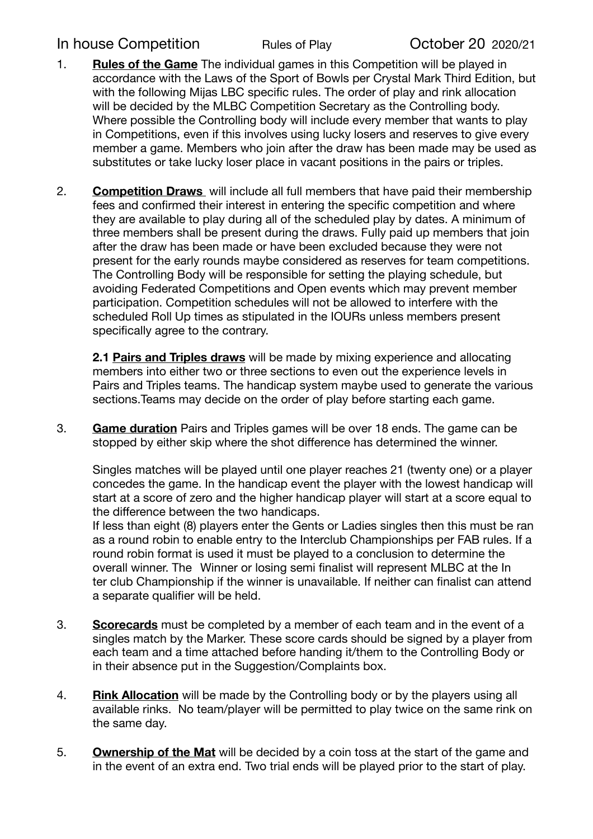## In house Competition Rules of Play Cortober 20 2020/21

- 1. **Rules of the Game** The individual games in this Competition will be played in accordance with the Laws of the Sport of Bowls per Crystal Mark Third Edition, but with the following Mijas LBC specific rules. The order of play and rink allocation will be decided by the MLBC Competition Secretary as the Controlling body. Where possible the Controlling body will include every member that wants to play in Competitions, even if this involves using lucky losers and reserves to give every member a game. Members who join after the draw has been made may be used as substitutes or take lucky loser place in vacant positions in the pairs or triples.
- 2. **Competition Draws** will include all full members that have paid their membership fees and confirmed their interest in entering the specific competition and where they are available to play during all of the scheduled play by dates. A minimum of three members shall be present during the draws. Fully paid up members that join after the draw has been made or have been excluded because they were not present for the early rounds maybe considered as reserves for team competitions. The Controlling Body will be responsible for setting the playing schedule, but avoiding Federated Competitions and Open events which may prevent member participation. Competition schedules will not be allowed to interfere with the scheduled Roll Up times as stipulated in the IOURs unless members present specifically agree to the contrary.

**2.1 Pairs and Triples draws** will be made by mixing experience and allocating members into either two or three sections to even out the experience levels in Pairs and Triples teams. The handicap system maybe used to generate the various sections.Teams may decide on the order of play before starting each game.

3. **Game duration** Pairs and Triples games will be over 18 ends. The game can be stopped by either skip where the shot difference has determined the winner.

Singles matches will be played until one player reaches 21 (twenty one) or a player concedes the game. In the handicap event the player with the lowest handicap will start at a score of zero and the higher handicap player will start at a score equal to the difference between the two handicaps.

If less than eight (8) players enter the Gents or Ladies singles then this must be ran as a round robin to enable entry to the Interclub Championships per FAB rules. If a round robin format is used it must be played to a conclusion to determine the overall winner. The Winner or losing semi finalist will represent MLBC at the In ter club Championship if the winner is unavailable. If neither can finalist can attend a separate qualifier will be held.

- 3. **Scorecards** must be completed by a member of each team and in the event of a singles match by the Marker. These score cards should be signed by a player from each team and a time attached before handing it/them to the Controlling Body or in their absence put in the Suggestion/Complaints box.
- 4. **Rink Allocation** will be made by the Controlling body or by the players using all available rinks. No team/player will be permitted to play twice on the same rink on the same day.
- 5. **Ownership of the Mat** will be decided by a coin toss at the start of the game and in the event of an extra end. Two trial ends will be played prior to the start of play.